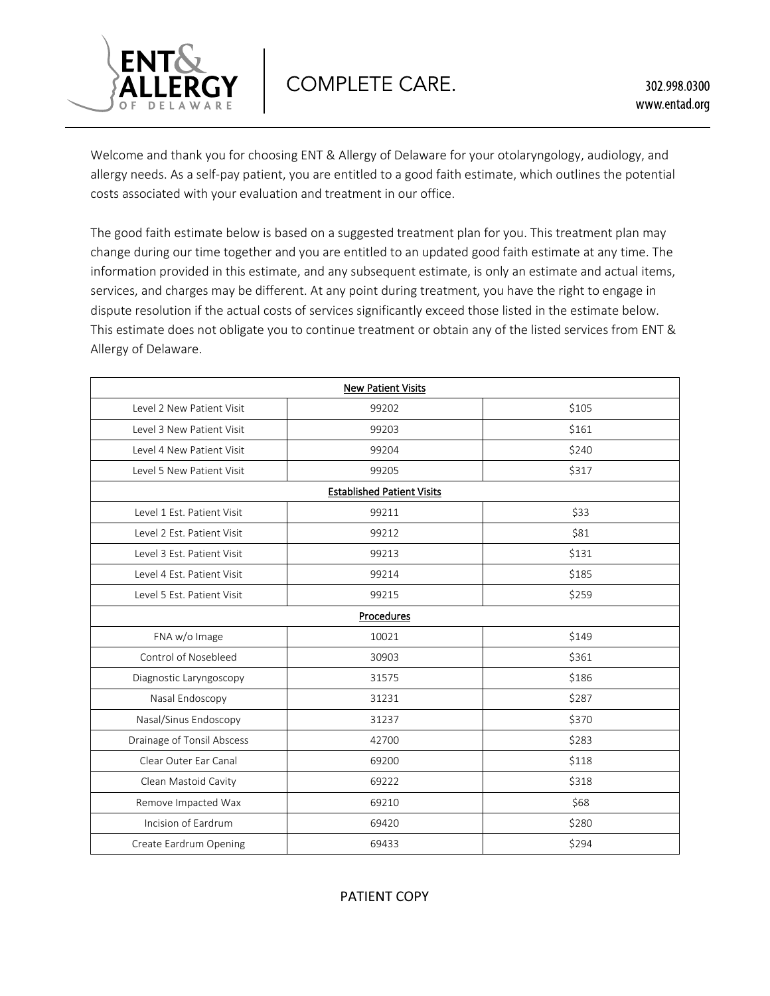

Welcome and thank you for choosing ENT & Allergy of Delaware for your otolaryngology, audiology, and allergy needs. As a self-pay patient, you are entitled to a good faith estimate, which outlines the potential costs associated with your evaluation and treatment in our office.

The good faith estimate below is based on a suggested treatment plan for you. This treatment plan may change during our time together and you are entitled to an updated good faith estimate at any time. The information provided in this estimate, and any subsequent estimate, is only an estimate and actual items, services, and charges may be different. At any point during treatment, you have the right to engage in dispute resolution if the actual costs of services significantly exceed those listed in the estimate below. This estimate does not obligate you to continue treatment or obtain any of the listed services from ENT & Allergy of Delaware.

| <b>New Patient Visits</b>         |       |       |  |  |
|-----------------------------------|-------|-------|--|--|
| Level 2 New Patient Visit         | 99202 | \$105 |  |  |
| Level 3 New Patient Visit         | 99203 | \$161 |  |  |
| Level 4 New Patient Visit         | 99204 | \$240 |  |  |
| Level 5 New Patient Visit         | 99205 | \$317 |  |  |
| <b>Established Patient Visits</b> |       |       |  |  |
| Level 1 Est. Patient Visit        | 99211 | \$33  |  |  |
| Level 2 Est. Patient Visit        | 99212 | \$81  |  |  |
| Level 3 Est. Patient Visit        | 99213 | \$131 |  |  |
| Level 4 Est. Patient Visit        | 99214 | \$185 |  |  |
| Level 5 Est. Patient Visit        | 99215 | \$259 |  |  |
| Procedures                        |       |       |  |  |
| FNA w/o Image                     | 10021 | \$149 |  |  |
| Control of Nosebleed              | 30903 | \$361 |  |  |
| Diagnostic Laryngoscopy           | 31575 | \$186 |  |  |
| Nasal Endoscopy                   | 31231 | \$287 |  |  |
| Nasal/Sinus Endoscopy             | 31237 | \$370 |  |  |
| Drainage of Tonsil Abscess        | 42700 | \$283 |  |  |
| Clear Outer Ear Canal             | 69200 | \$118 |  |  |
| Clean Mastoid Cavity              | 69222 | \$318 |  |  |
| Remove Impacted Wax               | 69210 | \$68  |  |  |
| Incision of Eardrum               | 69420 | \$280 |  |  |
| Create Eardrum Opening            | 69433 | \$294 |  |  |

PATIENT COPY